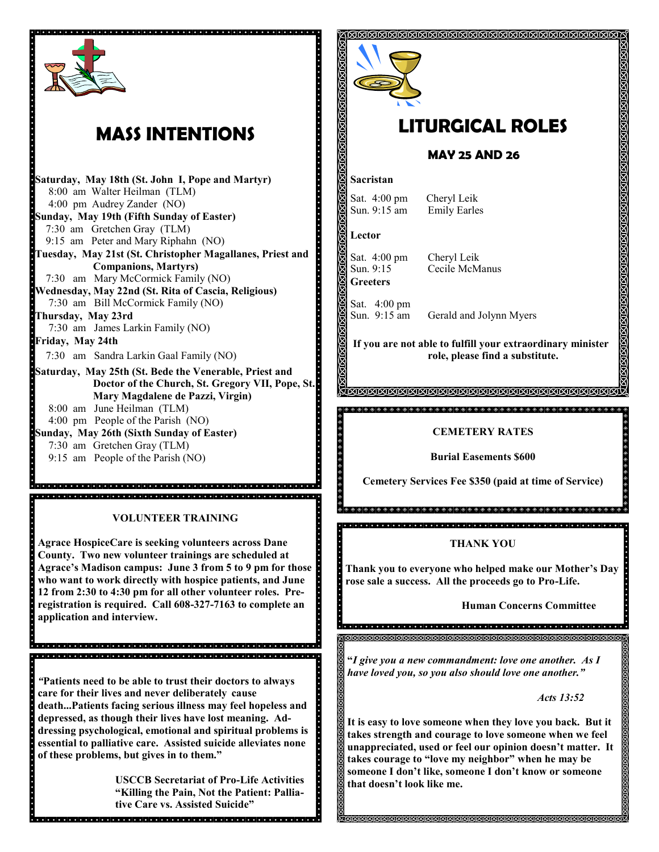

## **MASS INTENTIONS**

**Saturday, May 18th (St. John I, Pope and Martyr)** 8:00 am Walter Heilman (TLM) 4:00 pm Audrey Zander (NO) **Sunday, May 19th (Fifth Sunday of Easter)** 7:30 am Gretchen Gray (TLM) 9:15 am Peter and Mary Riphahn (NO) **Tuesday, May 21st (St. Christopher Magallanes, Priest and Companions, Martyrs)** 7:30 am Mary McCormick Family (NO) **Wednesday, May 22nd (St. Rita of Cascia, Religious)** 7:30 am Bill McCormick Family (NO) **Thursday, May 23rd**  7:30 am James Larkin Family (NO) **Friday, May 24th** 7:30 am Sandra Larkin Gaal Family (NO) **Saturday, May 25th (St. Bede the Venerable, Priest and Doctor of the Church, St. Gregory VII, Pope, St. Mary Magdalene de Pazzi, Virgin)** 8:00 am June Heilman (TLM) 4:00 pm People of the Parish (NO)

**Sunday, May 26th (Sixth Sunday of Easter)** 7:30 am Gretchen Gray (TLM)

9:15 am People of the Parish (NO)

**VOLUNTEER TRAINING**

alainin talainin talainin ja kalainin talainin talainin talainin talainin talainin talainin talainin talainin 

**Agrace HospiceCare is seeking volunteers across Dane County. Two new volunteer trainings are scheduled at Agrace's Madison campus: June 3 from 5 to 9 pm for those who want to work directly with hospice patients, and June 12 from 2:30 to 4:30 pm for all other volunteer roles. Preregistration is required. Call 608-327-7163 to complete an application and interview.** 

*"***Patients need to be able to trust their doctors to always care for their lives and never deliberately cause death...Patients facing serious illness may feel hopeless and depressed, as though their lives have lost meaning. Addressing psychological, emotional and spiritual problems is essential to palliative care. Assisted suicide alleviates none of these problems, but gives in to them."**

**USCCB Secretariat of Pro-Life Activities "Killing the Pain, Not the Patient: Palliative Care vs. Assisted Suicide"**



# **LITURGICAL ROLES**

### **MAY 25 AND 26**

#### **Sacristan**

Sat. 4:00 pm Cheryl Leik Sun. 9:15 am Emily Earles

**Lector**

Ċ.

Sat. 4:00 pm Cheryl Leik **Greeters**

Sun. 9:15 Cecile McManus

Sat. 4:00 pm Sun. 9:15 am Gerald and Jolynn Myers

**If you are not able to fulfill your extraordinary minister role, please find a substitute.** 

**MMMMMMMMMMMMMMMMMM** 

#### **CEMETERY RATES**

**Burial Easements \$600**

**Cemetery Services Fee \$350 (paid at time of Service)**

**THANK YOU**

**Thank you to everyone who helped make our Mother's Day rose sale a success. All the proceeds go to Pro-Life.**

**Human Concerns Committee**

**"***I give you a new commandment: love one another. As I have loved you, so you also should love one another."*

 *Acts 13:52*

**It is easy to love someone when they love you back. But it takes strength and courage to love someone when we feel unappreciated, used or feel our opinion doesn't matter. It takes courage to "love my neighbor" when he may be someone I don't like, someone I don't know or someone that doesn't look like me.**

**MMMMMMMMMMMMMMMMMM**